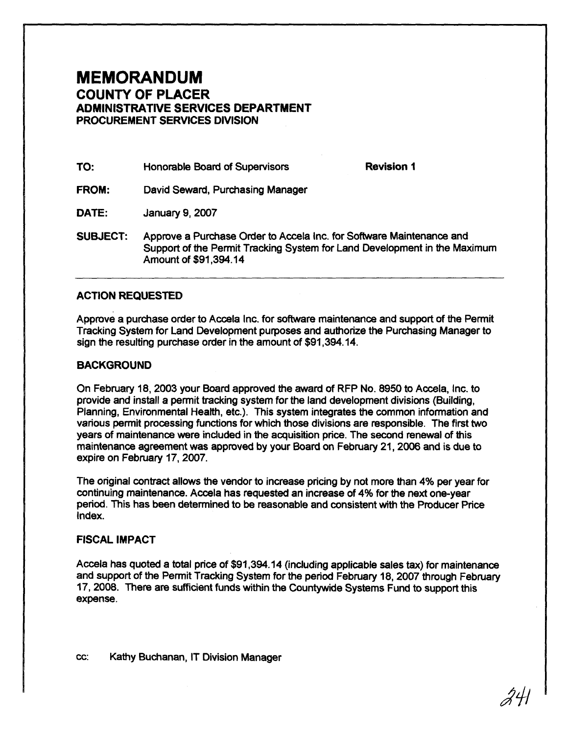## **MEMORANDUM COUNTY OF PLACER ADMINISTRATIVE SERVICES DEPARTMENT PROCUREMENT SERVICES DIVISION**

| TO:<br>Honorable Board of Supervisors |  |
|---------------------------------------|--|
|---------------------------------------|--|

**Revision 1** 

**FROM:** David Seward, Purchasing Manager

DATE: January 9, 2007

**SUBJECT:** Approve a Purchase Order to Accela Inc. for Software Maintenance and Support of the Permit Tracking System for Land Development in the Maximum Amount of \$91,394.14

## **ACTION REQUESTED**

Approve a purchase order to Accela Inc. for software maintenance and support of the Permit Tracking System for Land Development purposes and authorize the Purchasing Manager to sign the resulting purchase order in the amount of \$91,394.14.

## **BACKGROUND**

On February 18,2003 your Board approved the award of RFP No. 8950 to Accela, Inc. to provide and install a permit tracking system for the land development divisions (Building, Planning, Environmental Health, etc.). This system integrates the common information and various permit processing functions for which those divisions are responsible. The first two years of maintenance were included in the acquisition price. The second renewal of this maintenance agreement was approved by your Board on February 21,2006 and is due to expire on February 17,2007.

The original contract allows the vendor to increase pricing by not more than 4% per year for continuing maintenance. Accela has requested an increase of 4% for the next one-year period. This has been determined to be reasonable and consistent with the Producer Price Index.

## **FISCAL IMPACT**

Accela has quoted a total price of \$91,394.14 (including applicable sales tax) for maintenance and support of the Permit Tracking System for the period February 18,2007 through February 17, 2008. There are sufficient funds within the Countywde Systems Fund to support this expense.